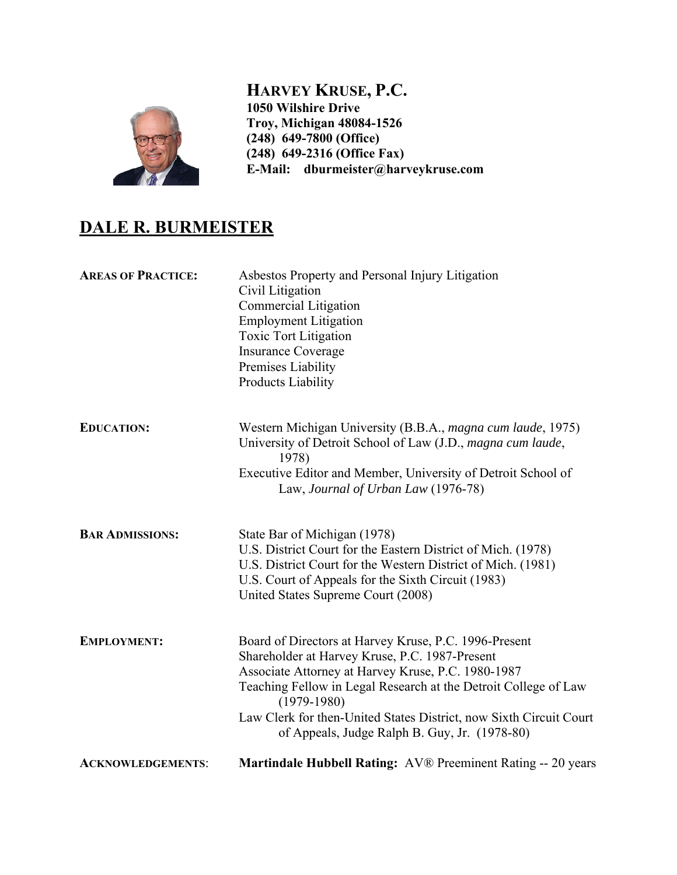

**HARVEY KRUSE, P.C. 1050 Wilshire Drive Troy, Michigan 48084-1526 (248) 649-7800 (Office) (248) 649-2316 (Office Fax) E-Mail: dburmeister@harveykruse.com** 

## **DALE R. BURMEISTER**

| <b>AREAS OF PRACTICE:</b> | Asbestos Property and Personal Injury Litigation<br>Civil Litigation<br><b>Commercial Litigation</b><br><b>Employment Litigation</b><br><b>Toxic Tort Litigation</b><br><b>Insurance Coverage</b><br>Premises Liability<br><b>Products Liability</b>                                                                                                                     |
|---------------------------|--------------------------------------------------------------------------------------------------------------------------------------------------------------------------------------------------------------------------------------------------------------------------------------------------------------------------------------------------------------------------|
| <b>EDUCATION:</b>         | Western Michigan University (B.B.A., magna cum laude, 1975)<br>University of Detroit School of Law (J.D., magna cum laude,<br>1978)<br>Executive Editor and Member, University of Detroit School of<br>Law, Journal of Urban Law (1976-78)                                                                                                                               |
| <b>BAR ADMISSIONS:</b>    | State Bar of Michigan (1978)<br>U.S. District Court for the Eastern District of Mich. (1978)<br>U.S. District Court for the Western District of Mich. (1981)<br>U.S. Court of Appeals for the Sixth Circuit (1983)<br>United States Supreme Court (2008)                                                                                                                 |
| <b>EMPLOYMENT:</b>        | Board of Directors at Harvey Kruse, P.C. 1996-Present<br>Shareholder at Harvey Kruse, P.C. 1987-Present<br>Associate Attorney at Harvey Kruse, P.C. 1980-1987<br>Teaching Fellow in Legal Research at the Detroit College of Law<br>$(1979-1980)$<br>Law Clerk for then-United States District, now Sixth Circuit Court<br>of Appeals, Judge Ralph B. Guy, Jr. (1978-80) |
| <b>ACKNOWLEDGEMENTS:</b>  | <b>Martindale Hubbell Rating:</b> AV® Preeminent Rating -- 20 years                                                                                                                                                                                                                                                                                                      |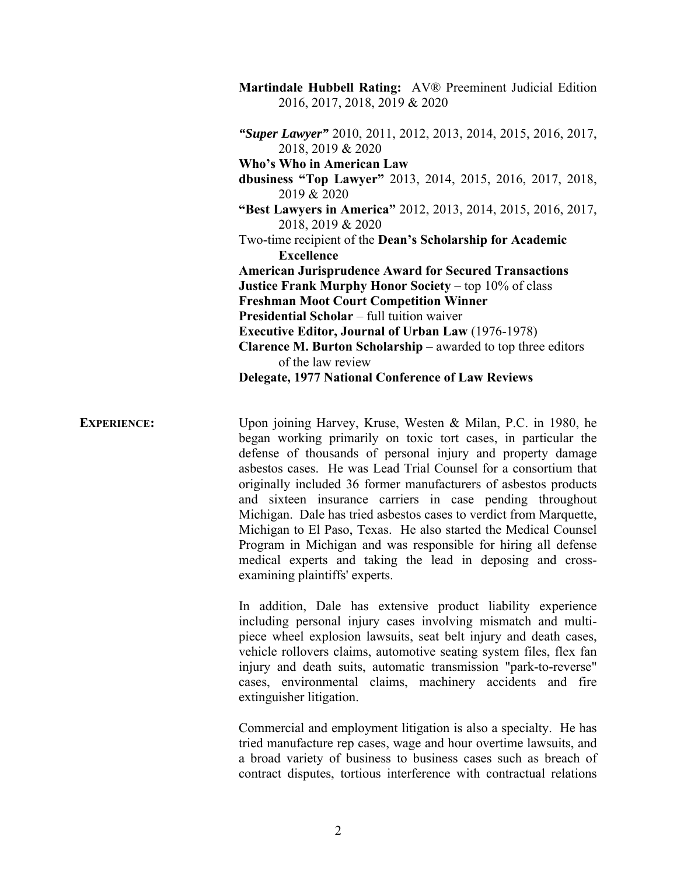**Martindale Hubbell Rating:** AV® Preeminent Judicial Edition 2016, 2017, 2018, 2019 & 2020 *"Super Lawyer"* 2010, 2011, 2012, 2013, 2014, 2015, 2016, 2017, 2018, 2019 & 2020 **Who's Who in American Law dbusiness "Top Lawyer"** 2013, 2014, 2015, 2016, 2017, 2018, 2019 & 2020 **"Best Lawyers in America"** 2012, 2013, 2014, 2015, 2016, 2017, 2018, 2019 & 2020 Two-time recipient of the **Dean's Scholarship for Academic Excellence American Jurisprudence Award for Secured Transactions Justice Frank Murphy Honor Society** – top 10% of class **Freshman Moot Court Competition Winner Presidential Scholar** – full tuition waiver

**Executive Editor, Journal of Urban Law** (1976-1978)

**Clarence M. Burton Scholarship** – awarded to top three editors of the law review

**Delegate, 1977 National Conference of Law Reviews** 

**EXPERIENCE:** Upon joining Harvey, Kruse, Westen & Milan, P.C. in 1980, he began working primarily on toxic tort cases, in particular the defense of thousands of personal injury and property damage asbestos cases. He was Lead Trial Counsel for a consortium that originally included 36 former manufacturers of asbestos products and sixteen insurance carriers in case pending throughout Michigan. Dale has tried asbestos cases to verdict from Marquette, Michigan to El Paso, Texas. He also started the Medical Counsel Program in Michigan and was responsible for hiring all defense medical experts and taking the lead in deposing and crossexamining plaintiffs' experts.

> In addition, Dale has extensive product liability experience including personal injury cases involving mismatch and multipiece wheel explosion lawsuits, seat belt injury and death cases, vehicle rollovers claims, automotive seating system files, flex fan injury and death suits, automatic transmission "park-to-reverse" cases, environmental claims, machinery accidents and fire extinguisher litigation.

> Commercial and employment litigation is also a specialty. He has tried manufacture rep cases, wage and hour overtime lawsuits, and a broad variety of business to business cases such as breach of contract disputes, tortious interference with contractual relations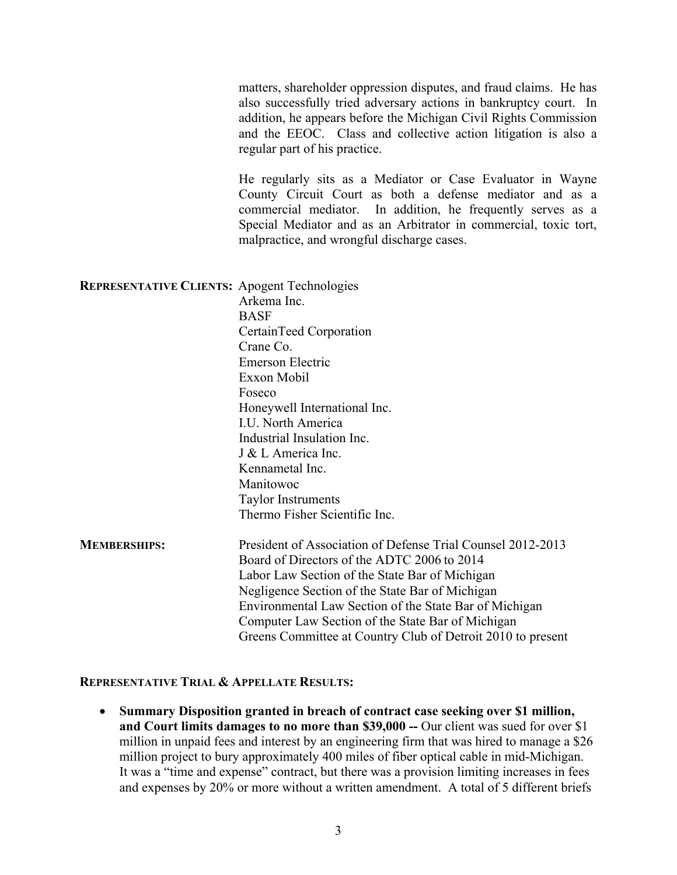matters, shareholder oppression disputes, and fraud claims. He has also successfully tried adversary actions in bankruptcy court. In addition, he appears before the Michigan Civil Rights Commission and the EEOC. Class and collective action litigation is also a regular part of his practice.

He regularly sits as a Mediator or Case Evaluator in Wayne County Circuit Court as both a defense mediator and as a commercial mediator. In addition, he frequently serves as a Special Mediator and as an Arbitrator in commercial, toxic tort, malpractice, and wrongful discharge cases.

## **REPRESENTATIVE CLIENTS:** Apogent Technologies

|                     | Arkema Inc.                                                 |
|---------------------|-------------------------------------------------------------|
|                     | <b>BASF</b>                                                 |
|                     | CertainTeed Corporation                                     |
|                     | Crane Co.                                                   |
|                     | Emerson Electric                                            |
|                     | Exxon Mobil                                                 |
|                     | Foseco                                                      |
|                     | Honeywell International Inc.                                |
|                     | I.U. North America                                          |
|                     | Industrial Insulation Inc.                                  |
|                     | J & L America Inc.                                          |
|                     | Kennametal Inc.                                             |
|                     | Manitowoc                                                   |
|                     | <b>Taylor Instruments</b>                                   |
|                     | Thermo Fisher Scientific Inc.                               |
| <b>MEMBERSHIPS:</b> | President of Association of Defense Trial Counsel 2012-2013 |
|                     | Board of Directors of the ADTC 2006 to 2014                 |
|                     | Labor Law Section of the State Bar of Michigan              |
|                     | Negligence Section of the State Bar of Michigan             |
|                     | Environmental Law Section of the State Bar of Michigan      |
|                     | Computer Law Section of the State Bar of Michigan           |
|                     | Greens Committee at Country Club of Detroit 2010 to present |

## **REPRESENTATIVE TRIAL & APPELLATE RESULTS:**

 **Summary Disposition granted in breach of contract case seeking over \$1 million, and Court limits damages to no more than \$39,000 --** Our client was sued for over \$1 million in unpaid fees and interest by an engineering firm that was hired to manage a \$26 million project to bury approximately 400 miles of fiber optical cable in mid-Michigan. It was a "time and expense" contract, but there was a provision limiting increases in fees and expenses by 20% or more without a written amendment. A total of 5 different briefs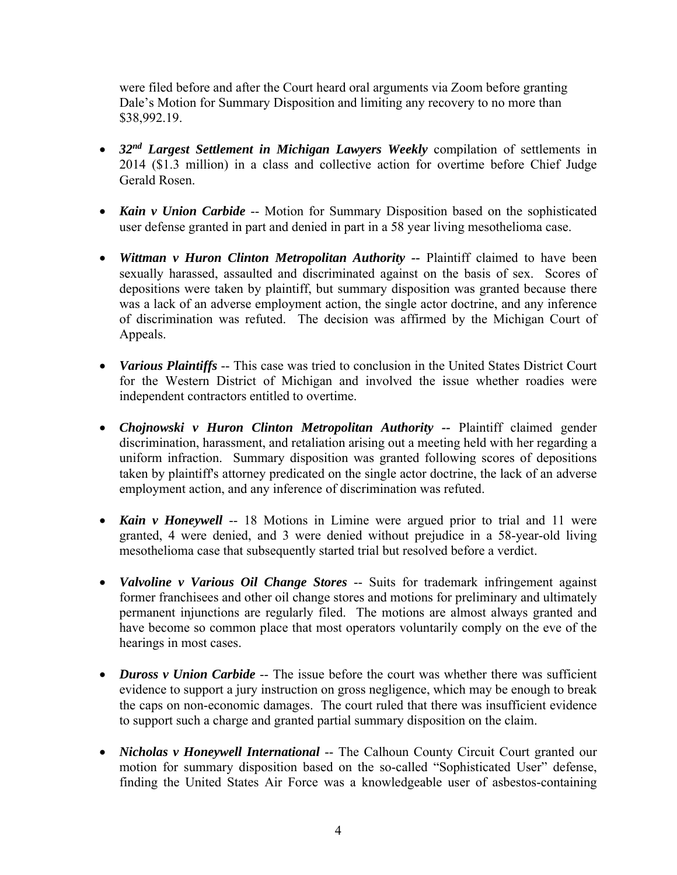were filed before and after the Court heard oral arguments via Zoom before granting Dale's Motion for Summary Disposition and limiting any recovery to no more than \$38,992.19.

- *32nd Largest Settlement in Michigan Lawyers Weekly* compilation of settlements in 2014 (\$1.3 million) in a class and collective action for overtime before Chief Judge Gerald Rosen.
- *Kain v Union Carbide* -- Motion for Summary Disposition based on the sophisticated user defense granted in part and denied in part in a 58 year living mesothelioma case.
- *Wittman v Huron Clinton Metropolitan Authority -- Plaintiff claimed to have been* sexually harassed, assaulted and discriminated against on the basis of sex. Scores of depositions were taken by plaintiff, but summary disposition was granted because there was a lack of an adverse employment action, the single actor doctrine, and any inference of discrimination was refuted. The decision was affirmed by the Michigan Court of Appeals.
- *Various Plaintiffs* -- This case was tried to conclusion in the United States District Court for the Western District of Michigan and involved the issue whether roadies were independent contractors entitled to overtime.
- *Chojnowski v Huron Clinton Metropolitan Authority --* Plaintiff claimed gender discrimination, harassment, and retaliation arising out a meeting held with her regarding a uniform infraction. Summary disposition was granted following scores of depositions taken by plaintiff's attorney predicated on the single actor doctrine, the lack of an adverse employment action, and any inference of discrimination was refuted.
- *Kain v Honeywell* -- 18 Motions in Limine were argued prior to trial and 11 were granted, 4 were denied, and 3 were denied without prejudice in a 58-year-old living mesothelioma case that subsequently started trial but resolved before a verdict.
- *Valvoline v Various Oil Change Stores* -- Suits for trademark infringement against former franchisees and other oil change stores and motions for preliminary and ultimately permanent injunctions are regularly filed. The motions are almost always granted and have become so common place that most operators voluntarily comply on the eve of the hearings in most cases.
- *Duross v Union Carbide* -- The issue before the court was whether there was sufficient evidence to support a jury instruction on gross negligence, which may be enough to break the caps on non-economic damages. The court ruled that there was insufficient evidence to support such a charge and granted partial summary disposition on the claim.
- *Nicholas v Honeywell International* -- The Calhoun County Circuit Court granted our motion for summary disposition based on the so-called "Sophisticated User" defense, finding the United States Air Force was a knowledgeable user of asbestos-containing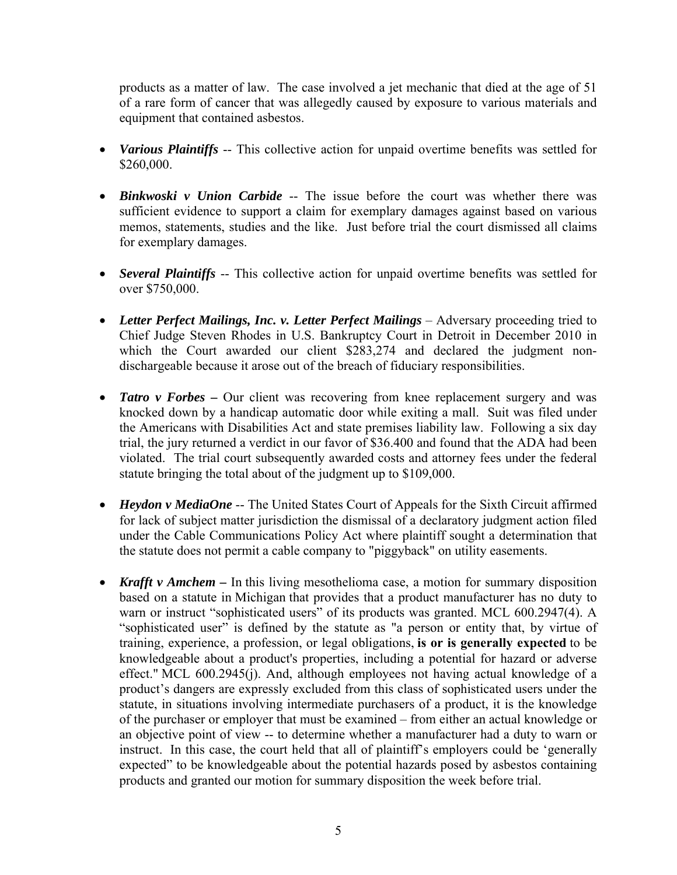products as a matter of law. The case involved a jet mechanic that died at the age of 51 of a rare form of cancer that was allegedly caused by exposure to various materials and equipment that contained asbestos.

- *Various Plaintiffs* -- This collective action for unpaid overtime benefits was settled for \$260,000.
- *Binkwoski v Union Carbide* -- The issue before the court was whether there was sufficient evidence to support a claim for exemplary damages against based on various memos, statements, studies and the like. Just before trial the court dismissed all claims for exemplary damages.
- Several Plaintiffs -- This collective action for unpaid overtime benefits was settled for over \$750,000.
- Letter Perfect Mailings, Inc. v. Letter Perfect Mailings Adversary proceeding tried to Chief Judge Steven Rhodes in U.S. Bankruptcy Court in Detroit in December 2010 in which the Court awarded our client \$283,274 and declared the judgment nondischargeable because it arose out of the breach of fiduciary responsibilities.
- **Tatro v Forbes** Our client was recovering from knee replacement surgery and was knocked down by a handicap automatic door while exiting a mall. Suit was filed under the Americans with Disabilities Act and state premises liability law. Following a six day trial, the jury returned a verdict in our favor of \$36.400 and found that the ADA had been violated. The trial court subsequently awarded costs and attorney fees under the federal statute bringing the total about of the judgment up to \$109,000.
- *Heydon v MediaOne* -- The United States Court of Appeals for the Sixth Circuit affirmed for lack of subject matter jurisdiction the dismissal of a declaratory judgment action filed under the Cable Communications Policy Act where plaintiff sought a determination that the statute does not permit a cable company to "piggyback" on utility easements.
- *Krafft v Amchem* In this living mesothelioma case, a motion for summary disposition based on a statute in Michigan that provides that a product manufacturer has no duty to warn or instruct "sophisticated users" of its products was granted. MCL 600.2947(4). A "sophisticated user" is defined by the statute as "a person or entity that, by virtue of training, experience, a profession, or legal obligations, **is or is generally expected** to be knowledgeable about a product's properties, including a potential for hazard or adverse effect." MCL 600.2945(j). And, although employees not having actual knowledge of a product's dangers are expressly excluded from this class of sophisticated users under the statute, in situations involving intermediate purchasers of a product, it is the knowledge of the purchaser or employer that must be examined – from either an actual knowledge or an objective point of view -- to determine whether a manufacturer had a duty to warn or instruct. In this case, the court held that all of plaintiff's employers could be 'generally expected" to be knowledgeable about the potential hazards posed by asbestos containing products and granted our motion for summary disposition the week before trial.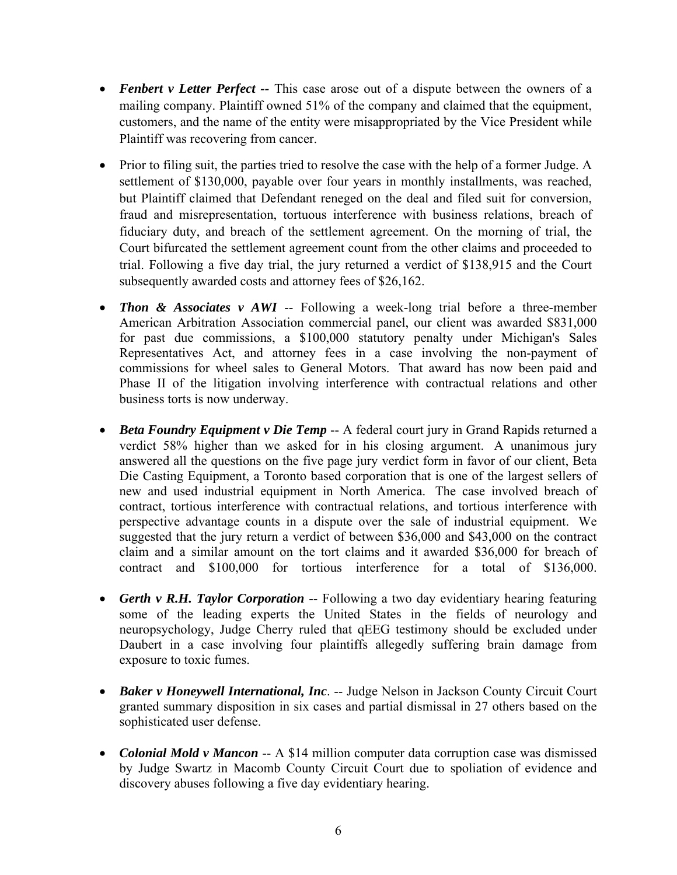- *Fenbert v Letter Perfect --* This case arose out of a dispute between the owners of a mailing company. Plaintiff owned 51% of the company and claimed that the equipment, customers, and the name of the entity were misappropriated by the Vice President while Plaintiff was recovering from cancer.
- Prior to filing suit, the parties tried to resolve the case with the help of a former Judge. A settlement of \$130,000, payable over four years in monthly installments, was reached, but Plaintiff claimed that Defendant reneged on the deal and filed suit for conversion, fraud and misrepresentation, tortuous interference with business relations, breach of fiduciary duty, and breach of the settlement agreement. On the morning of trial, the Court bifurcated the settlement agreement count from the other claims and proceeded to trial. Following a five day trial, the jury returned a verdict of \$138,915 and the Court subsequently awarded costs and attorney fees of \$26,162.
- *Thon & Associates v AWI* -- Following a week-long trial before a three-member American Arbitration Association commercial panel, our client was awarded \$831,000 for past due commissions, a \$100,000 statutory penalty under Michigan's Sales Representatives Act, and attorney fees in a case involving the non-payment of commissions for wheel sales to General Motors. That award has now been paid and Phase II of the litigation involving interference with contractual relations and other business torts is now underway.
- *Beta Foundry Equipment v Die Temp* -- A federal court jury in Grand Rapids returned a verdict 58% higher than we asked for in his closing argument. A unanimous jury answered all the questions on the five page jury verdict form in favor of our client, Beta Die Casting Equipment, a Toronto based corporation that is one of the largest sellers of new and used industrial equipment in North America. The case involved breach of contract, tortious interference with contractual relations, and tortious interference with perspective advantage counts in a dispute over the sale of industrial equipment. We suggested that the jury return a verdict of between \$36,000 and \$43,000 on the contract claim and a similar amount on the tort claims and it awarded \$36,000 for breach of contract and \$100,000 for tortious interference for a total of \$136,000.
- *Gerth v R.H. Taylor Corporation* -- Following a two day evidentiary hearing featuring some of the leading experts the United States in the fields of neurology and neuropsychology, Judge Cherry ruled that qEEG testimony should be excluded under Daubert in a case involving four plaintiffs allegedly suffering brain damage from exposure to toxic fumes.
- *Baker v Honeywell International, Inc*. -- Judge Nelson in Jackson County Circuit Court granted summary disposition in six cases and partial dismissal in 27 others based on the sophisticated user defense.
- *Colonial Mold v Mancon* -- A \$14 million computer data corruption case was dismissed by Judge Swartz in Macomb County Circuit Court due to spoliation of evidence and discovery abuses following a five day evidentiary hearing.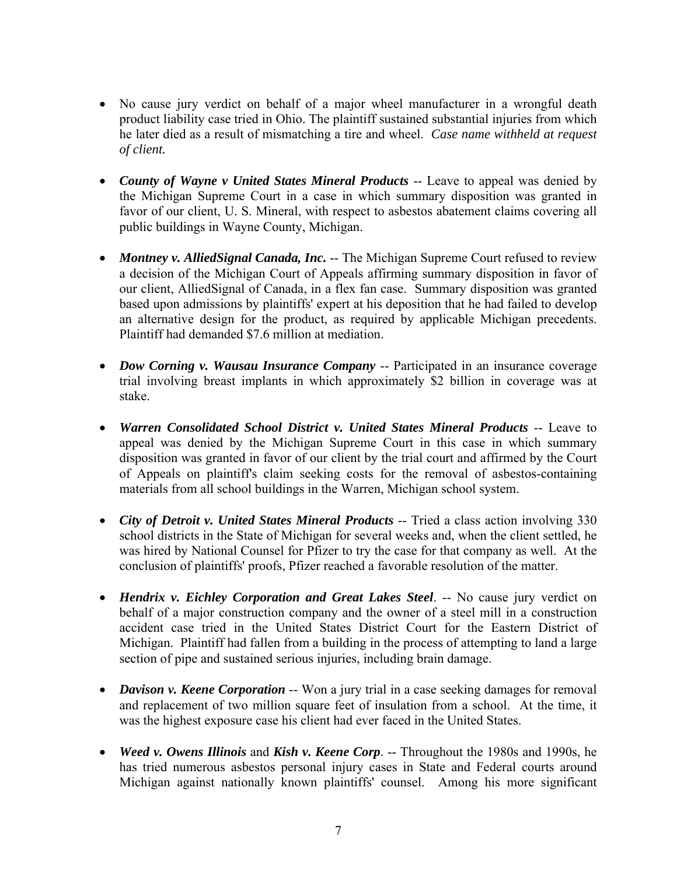- No cause jury verdict on behalf of a major wheel manufacturer in a wrongful death product liability case tried in Ohio. The plaintiff sustained substantial injuries from which he later died as a result of mismatching a tire and wheel. *Case name withheld at request of client.*
- *County of Wayne v United States Mineral Products* -- Leave to appeal was denied by the Michigan Supreme Court in a case in which summary disposition was granted in favor of our client, U. S. Mineral, with respect to asbestos abatement claims covering all public buildings in Wayne County, Michigan.
- Montney v. Allied Signal Canada, Inc. -- The Michigan Supreme Court refused to review a decision of the Michigan Court of Appeals affirming summary disposition in favor of our client, AlliedSignal of Canada, in a flex fan case. Summary disposition was granted based upon admissions by plaintiffs' expert at his deposition that he had failed to develop an alternative design for the product, as required by applicable Michigan precedents. Plaintiff had demanded \$7.6 million at mediation.
- *Dow Corning v. Wausau Insurance Company* -- Participated in an insurance coverage trial involving breast implants in which approximately \$2 billion in coverage was at stake.
- *Warren Consolidated School District v. United States Mineral Products* -- Leave to appeal was denied by the Michigan Supreme Court in this case in which summary disposition was granted in favor of our client by the trial court and affirmed by the Court of Appeals on plaintiff's claim seeking costs for the removal of asbestos-containing materials from all school buildings in the Warren, Michigan school system.
- *City of Detroit v. United States Mineral Products* -- Tried a class action involving 330 school districts in the State of Michigan for several weeks and, when the client settled, he was hired by National Counsel for Pfizer to try the case for that company as well. At the conclusion of plaintiffs' proofs, Pfizer reached a favorable resolution of the matter.
- *Hendrix v. Eichley Corporation and Great Lakes Steel*. -- No cause jury verdict on behalf of a major construction company and the owner of a steel mill in a construction accident case tried in the United States District Court for the Eastern District of Michigan. Plaintiff had fallen from a building in the process of attempting to land a large section of pipe and sustained serious injuries, including brain damage.
- *Davison v. Keene Corporation* -- Won a jury trial in a case seeking damages for removal and replacement of two million square feet of insulation from a school. At the time, it was the highest exposure case his client had ever faced in the United States.
- *Weed v. Owens Illinois* and *Kish v. Keene Corp*. -- Throughout the 1980s and 1990s, he has tried numerous asbestos personal injury cases in State and Federal courts around Michigan against nationally known plaintiffs' counsel. Among his more significant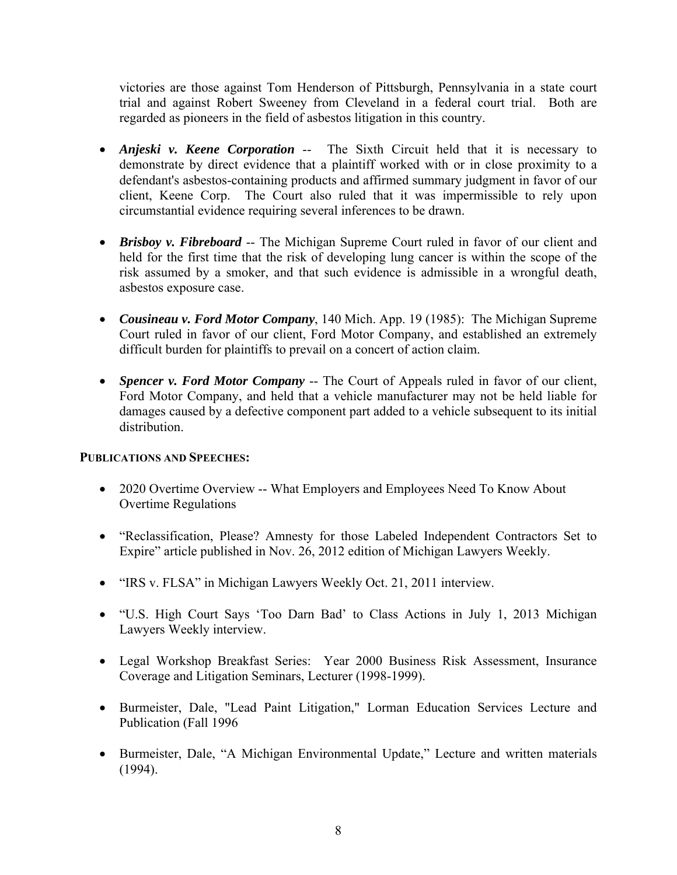victories are those against Tom Henderson of Pittsburgh, Pennsylvania in a state court trial and against Robert Sweeney from Cleveland in a federal court trial. Both are regarded as pioneers in the field of asbestos litigation in this country.

- *Anjeski v. Keene Corporation* -- The Sixth Circuit held that it is necessary to demonstrate by direct evidence that a plaintiff worked with or in close proximity to a defendant's asbestos-containing products and affirmed summary judgment in favor of our client, Keene Corp. The Court also ruled that it was impermissible to rely upon circumstantial evidence requiring several inferences to be drawn.
- *Brisboy v. Fibreboard* -- The Michigan Supreme Court ruled in favor of our client and held for the first time that the risk of developing lung cancer is within the scope of the risk assumed by a smoker, and that such evidence is admissible in a wrongful death, asbestos exposure case.
- *Cousineau v. Ford Motor Company*, 140 Mich. App. 19 (1985): The Michigan Supreme Court ruled in favor of our client, Ford Motor Company, and established an extremely difficult burden for plaintiffs to prevail on a concert of action claim.
- *Spencer v. Ford Motor Company* -- The Court of Appeals ruled in favor of our client, Ford Motor Company, and held that a vehicle manufacturer may not be held liable for damages caused by a defective component part added to a vehicle subsequent to its initial distribution.

## **PUBLICATIONS AND SPEECHES:**

- 2020 Overtime Overview -- What Employers and Employees Need To Know About Overtime Regulations
- "Reclassification, Please? Amnesty for those Labeled Independent Contractors Set to Expire" article published in Nov. 26, 2012 edition of Michigan Lawyers Weekly.
- "IRS v. FLSA" in Michigan Lawyers Weekly Oct. 21, 2011 interview.
- "U.S. High Court Says 'Too Darn Bad' to Class Actions in July 1, 2013 Michigan Lawyers Weekly interview.
- Legal Workshop Breakfast Series: Year 2000 Business Risk Assessment, Insurance Coverage and Litigation Seminars, Lecturer (1998-1999).
- Burmeister, Dale, "Lead Paint Litigation," Lorman Education Services Lecture and Publication (Fall 1996
- Burmeister, Dale, "A Michigan Environmental Update," Lecture and written materials (1994).